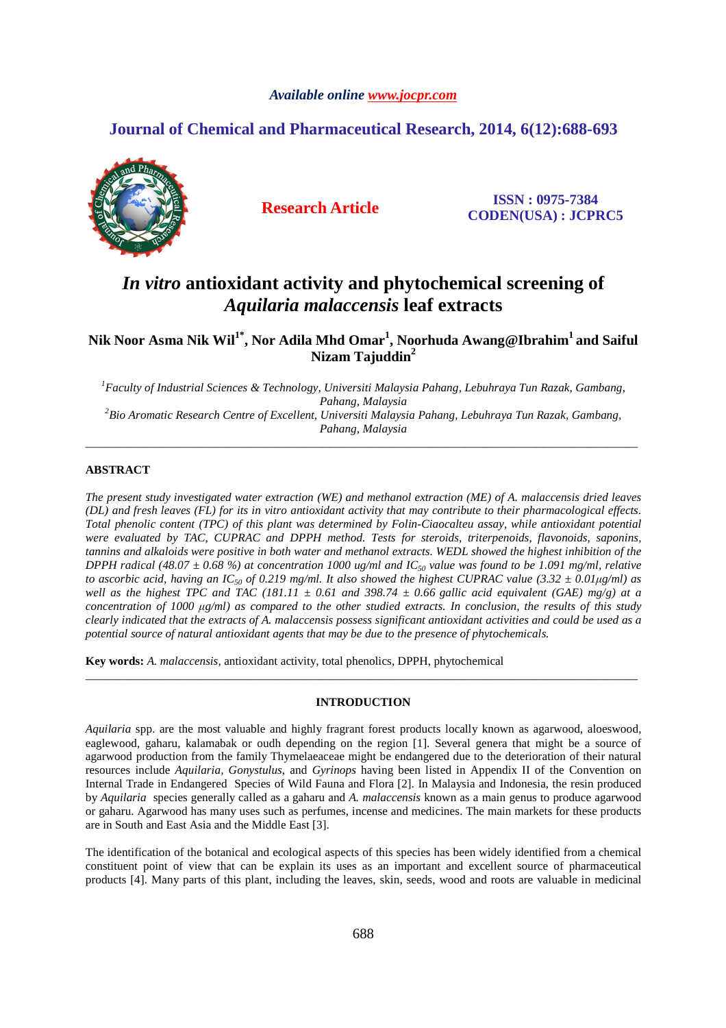### *Available online www.jocpr.com*

## **Journal of Chemical and Pharmaceutical Research, 2014, 6(12):688-693**



**Research Article ISSN : 0975-7384 CODEN(USA) : JCPRC5**

# *In vitro* **antioxidant activity and phytochemical screening of**  *Aquilaria malaccensis* **leaf extracts**

**Nik Noor Asma Nik Wil1\*, Nor Adila Mhd Omar<sup>1</sup> , Noorhuda Awang@Ibrahim<sup>1</sup>and Saiful Nizam Tajuddin<sup>2</sup>**

*<sup>1</sup>Faculty of Industrial Sciences & Technology, Universiti Malaysia Pahang, Lebuhraya Tun Razak, Gambang, Pahang, Malaysia <sup>2</sup>Bio Aromatic Research Centre of Excellent, Universiti Malaysia Pahang, Lebuhraya Tun Razak, Gambang, Pahang, Malaysia* 

\_\_\_\_\_\_\_\_\_\_\_\_\_\_\_\_\_\_\_\_\_\_\_\_\_\_\_\_\_\_\_\_\_\_\_\_\_\_\_\_\_\_\_\_\_\_\_\_\_\_\_\_\_\_\_\_\_\_\_\_\_\_\_\_\_\_\_\_\_\_\_\_\_\_\_\_\_\_\_\_\_\_\_\_\_\_\_\_\_\_\_\_\_

### **ABSTRACT**

*The present study investigated water extraction (WE) and methanol extraction (ME) of A. malaccensis dried leaves (DL) and fresh leaves (FL) for its in vitro antioxidant activity that may contribute to their pharmacological effects. Total phenolic content (TPC) of this plant was determined by Folin-Ciaocalteu assay, while antioxidant potential were evaluated by TAC, CUPRAC and DPPH method. Tests for steroids, triterpenoids, flavonoids, saponins, tannins and alkaloids were positive in both water and methanol extracts. WEDL showed the highest inhibition of the DPPH radical (48.07 ± 0.68 %) at concentration 1000 ug/ml and IC50 value was found to be 1.091 mg/ml, relative to ascorbic acid, having an IC*<sub>50</sub> of 0.219 mg/ml. It also showed the highest CUPRAC value (3.32  $\pm$  0.01 $\mu$ g/ml) as *well as the highest TPC and TAC (181.11*  $\pm$  *0.61 and 398.74*  $\pm$  *0.66 gallic acid equivalent (GAE) mg/g) at a concentration of 1000 µg/ml) as compared to the other studied extracts. In conclusion, the results of this study clearly indicated that the extracts of A. malaccensis possess significant antioxidant activities and could be used as a potential source of natural antioxidant agents that may be due to the presence of phytochemicals.*

**Key words:** *A. malaccensis,* antioxidant activity, total phenolics, DPPH, phytochemical

#### **INTRODUCTION**

\_\_\_\_\_\_\_\_\_\_\_\_\_\_\_\_\_\_\_\_\_\_\_\_\_\_\_\_\_\_\_\_\_\_\_\_\_\_\_\_\_\_\_\_\_\_\_\_\_\_\_\_\_\_\_\_\_\_\_\_\_\_\_\_\_\_\_\_\_\_\_\_\_\_\_\_\_\_\_\_\_\_\_\_\_\_\_\_\_\_\_\_\_

*Aquilaria* spp. are the most valuable and highly fragrant forest products locally known as agarwood, aloeswood, eaglewood, gaharu, kalamabak or oudh depending on the region [1]. Several genera that might be a source of agarwood production from the family Thymelaeaceae might be endangered due to the deterioration of their natural resources include *Aquilaria, Gonystulus*, and *Gyrinops* having been listed in Appendix II of the Convention on Internal Trade in Endangered Species of Wild Fauna and Flora [2]. In Malaysia and Indonesia, the resin produced by *Aquilaria* species generally called as a gaharu and *A. malaccensis* known as a main genus to produce agarwood or gaharu. Agarwood has many uses such as perfumes, incense and medicines. The main markets for these products are in South and East Asia and the Middle East [3].

The identification of the botanical and ecological aspects of this species has been widely identified from a chemical constituent point of view that can be explain its uses as an important and excellent source of pharmaceutical products [4]. Many parts of this plant, including the leaves, skin, seeds, wood and roots are valuable in medicinal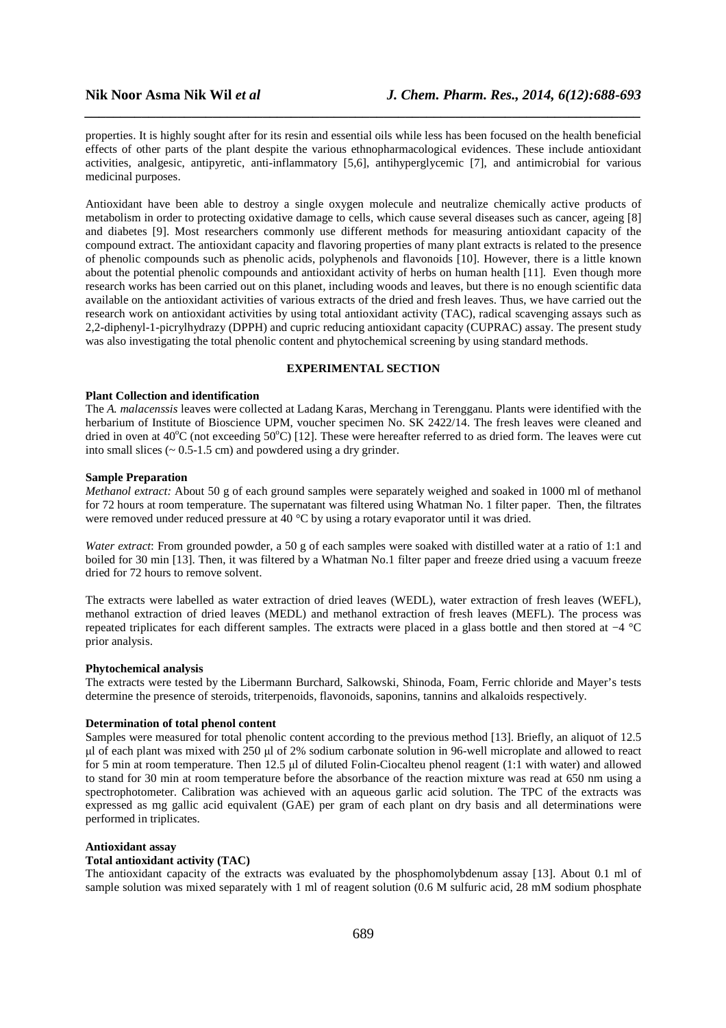properties. It is highly sought after for its resin and essential oils while less has been focused on the health beneficial effects of other parts of the plant despite the various ethnopharmacological evidences. These include antioxidant activities, analgesic, antipyretic, anti-inflammatory [5,6], antihyperglycemic [7], and antimicrobial for various medicinal purposes.

*\_\_\_\_\_\_\_\_\_\_\_\_\_\_\_\_\_\_\_\_\_\_\_\_\_\_\_\_\_\_\_\_\_\_\_\_\_\_\_\_\_\_\_\_\_\_\_\_\_\_\_\_\_\_\_\_\_\_\_\_\_\_\_\_\_\_\_\_\_\_\_\_\_\_\_\_\_\_*

Antioxidant have been able to destroy a single oxygen molecule and neutralize chemically active products of metabolism in order to protecting oxidative damage to cells, which cause several diseases such as cancer, ageing [8] and diabetes [9]. Most researchers commonly use different methods for measuring antioxidant capacity of the compound extract. The antioxidant capacity and flavoring properties of many plant extracts is related to the presence of phenolic compounds such as phenolic acids, polyphenols and flavonoids [10]. However, there is a little known about the potential phenolic compounds and antioxidant activity of herbs on human health [11]. Even though more research works has been carried out on this planet, including woods and leaves, but there is no enough scientific data available on the antioxidant activities of various extracts of the dried and fresh leaves. Thus, we have carried out the research work on antioxidant activities by using total antioxidant activity (TAC), radical scavenging assays such as 2,2-diphenyl-1-picrylhydrazy (DPPH) and cupric reducing antioxidant capacity (CUPRAC) assay. The present study was also investigating the total phenolic content and phytochemical screening by using standard methods.

### **EXPERIMENTAL SECTION**

#### **Plant Collection and identification**

The *A. malacenssis* leaves were collected at Ladang Karas, Merchang in Terengganu. Plants were identified with the herbarium of Institute of Bioscience UPM, voucher specimen No. SK 2422/14. The fresh leaves were cleaned and dried in oven at 40 $^{\circ}$ C (not exceeding 50 $^{\circ}$ C) [12]. These were hereafter referred to as dried form. The leaves were cut into small slices  $(-0.5-1.5 \text{ cm})$  and powdered using a dry grinder.

#### **Sample Preparation**

*Methanol extract:* About 50 g of each ground samples were separately weighed and soaked in 1000 ml of methanol for 72 hours at room temperature. The supernatant was filtered using Whatman No. 1 filter paper. Then, the filtrates were removed under reduced pressure at 40 °C by using a rotary evaporator until it was dried.

*Water extract*: From grounded powder, a 50 g of each samples were soaked with distilled water at a ratio of 1:1 and boiled for 30 min [13]. Then, it was filtered by a Whatman No.1 filter paper and freeze dried using a vacuum freeze dried for 72 hours to remove solvent.

The extracts were labelled as water extraction of dried leaves (WEDL), water extraction of fresh leaves (WEFL), methanol extraction of dried leaves (MEDL) and methanol extraction of fresh leaves (MEFL). The process was repeated triplicates for each different samples. The extracts were placed in a glass bottle and then stored at −4 °C prior analysis.

#### **Phytochemical analysis**

The extracts were tested by the Libermann Burchard, Salkowski, Shinoda, Foam, Ferric chloride and Mayer's tests determine the presence of steroids, triterpenoids, flavonoids, saponins, tannins and alkaloids respectively.

#### **Determination of total phenol content**

Samples were measured for total phenolic content according to the previous method [13]. Briefly, an aliquot of 12.5 µl of each plant was mixed with 250 µl of 2% sodium carbonate solution in 96-well microplate and allowed to react for 5 min at room temperature. Then 12.5 µl of diluted Folin-Ciocalteu phenol reagent (1:1 with water) and allowed to stand for 30 min at room temperature before the absorbance of the reaction mixture was read at 650 nm using a spectrophotometer. Calibration was achieved with an aqueous garlic acid solution. The TPC of the extracts was expressed as mg gallic acid equivalent (GAE) per gram of each plant on dry basis and all determinations were performed in triplicates.

#### **Antioxidant assay**

#### **Total antioxidant activity (TAC)**

The antioxidant capacity of the extracts was evaluated by the phosphomolybdenum assay [13]. About 0.1 ml of sample solution was mixed separately with 1 ml of reagent solution (0.6 M sulfuric acid, 28 mM sodium phosphate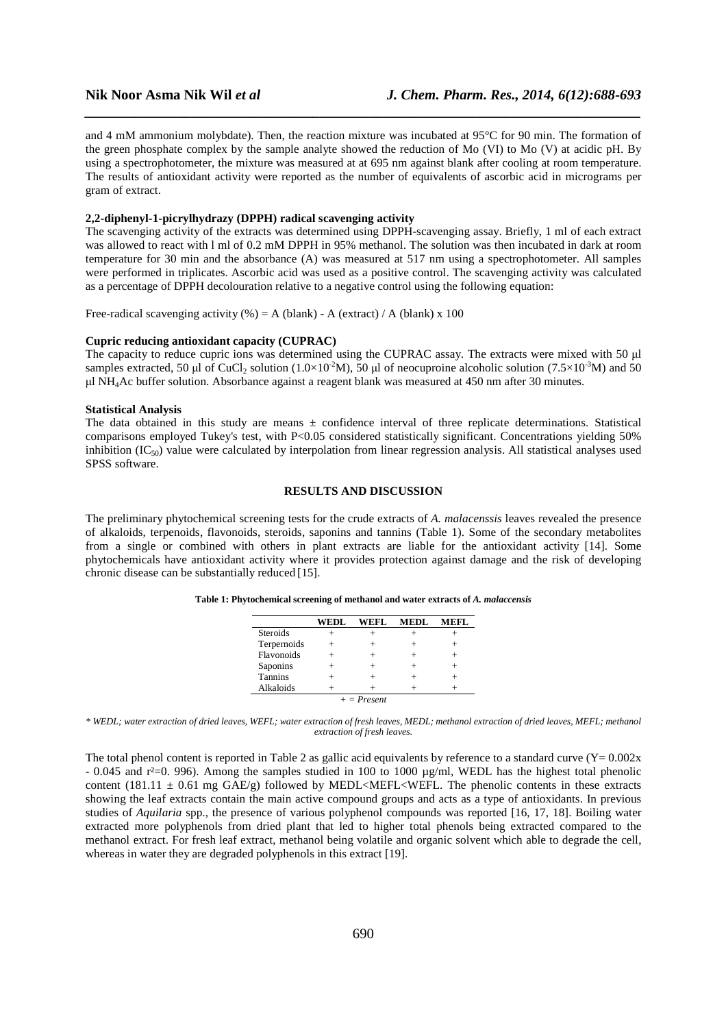and 4 mM ammonium molybdate). Then, the reaction mixture was incubated at 95°C for 90 min. The formation of the green phosphate complex by the sample analyte showed the reduction of Mo (VI) to Mo (V) at acidic pH. By using a spectrophotometer, the mixture was measured at at 695 nm against blank after cooling at room temperature. The results of antioxidant activity were reported as the number of equivalents of ascorbic acid in micrograms per gram of extract.

*\_\_\_\_\_\_\_\_\_\_\_\_\_\_\_\_\_\_\_\_\_\_\_\_\_\_\_\_\_\_\_\_\_\_\_\_\_\_\_\_\_\_\_\_\_\_\_\_\_\_\_\_\_\_\_\_\_\_\_\_\_\_\_\_\_\_\_\_\_\_\_\_\_\_\_\_\_\_*

#### **2,2-diphenyl-1-picrylhydrazy (DPPH) radical scavenging activity**

The scavenging activity of the extracts was determined using DPPH-scavenging assay. Briefly, 1 ml of each extract was allowed to react with l ml of 0.2 mM DPPH in 95% methanol. The solution was then incubated in dark at room temperature for 30 min and the absorbance (A) was measured at 517 nm using a spectrophotometer. All samples were performed in triplicates. Ascorbic acid was used as a positive control. The scavenging activity was calculated as a percentage of DPPH decolouration relative to a negative control using the following equation:

Free-radical scavenging activity (%) = A (blank) - A (extract) / A (blank) x 100

#### **Cupric reducing antioxidant capacity (CUPRAC)**

The capacity to reduce cupric ions was determined using the CUPRAC assay. The extracts were mixed with 50 ul samples extracted, 50 µl of CuCl<sub>2</sub> solution (1.0×10<sup>-2</sup>M), 50 µl of neocuproine alcoholic solution (7.5×10<sup>-3</sup>M) and 50  $\mu$ l NH<sub>4</sub>Ac buffer solution. Absorbance against a reagent blank was measured at 450 nm after 30 minutes.

#### **Statistical Analysis**

The data obtained in this study are means  $\pm$  confidence interval of three replicate determinations. Statistical comparisons employed Tukey's test, with P<0.05 considered statistically significant. Concentrations yielding 50% inhibition  $(IC_{50})$  value were calculated by interpolation from linear regression analysis. All statistical analyses used SPSS software.

#### **RESULTS AND DISCUSSION**

The preliminary phytochemical screening tests for the crude extracts of *A. malacenssis* leaves revealed the presence of alkaloids, terpenoids, flavonoids, steroids, saponins and tannins (Table 1). Some of the secondary metabolites from a single or combined with others in plant extracts are liable for the antioxidant activity [14]. Some phytochemicals have antioxidant activity where it provides protection against damage and the risk of developing chronic disease can be substantially reduced [15].

|                 | WEDL | WEFL | MEDL | MEFL. |  |  |  |
|-----------------|------|------|------|-------|--|--|--|
| <b>Steroids</b> |      |      |      |       |  |  |  |
| Terpernoids     |      |      |      |       |  |  |  |
| Flavonoids      |      |      |      |       |  |  |  |
| Saponins        |      |      |      |       |  |  |  |
| Tannins         |      |      |      |       |  |  |  |
| Alkaloids       |      |      |      |       |  |  |  |
| $+$ = Present   |      |      |      |       |  |  |  |

**Table 1: Phytochemical screening of methanol and water extracts of** *A. malaccensis*

*\* WEDL; water extraction of dried leaves, WEFL; water extraction of fresh leaves, MEDL; methanol extraction of dried leaves, MEFL; methanol extraction of fresh leaves.* 

The total phenol content is reported in Table 2 as gallic acid equivalents by reference to a standard curve  $(Y= 0.002x)$  $-0.045$  and r<sup>2</sup>=0, 996). Among the samples studied in 100 to 1000 ug/ml, WEDL has the highest total phenolic content (181.11  $\pm$  0.61 mg GAE/g) followed by MEDL<MEFL<WEFL. The phenolic contents in these extracts showing the leaf extracts contain the main active compound groups and acts as a type of antioxidants. In previous studies of *Aquilaria* spp., the presence of various polyphenol compounds was reported [16, 17, 18]. Boiling water extracted more polyphenols from dried plant that led to higher total phenols being extracted compared to the methanol extract. For fresh leaf extract, methanol being volatile and organic solvent which able to degrade the cell, whereas in water they are degraded polyphenols in this extract [19].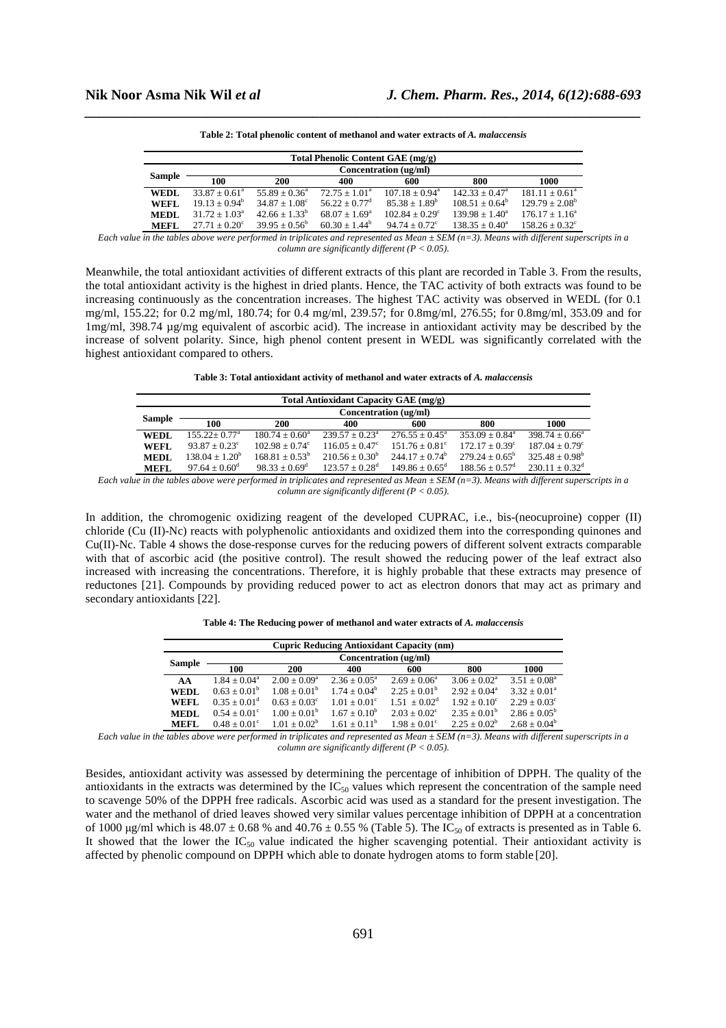| Total Phenolic Content GAE (mg/g) |                        |                        |                        |                         |                   |                         |  |  |
|-----------------------------------|------------------------|------------------------|------------------------|-------------------------|-------------------|-------------------------|--|--|
|                                   | Concentration (ug/ml)  |                        |                        |                         |                   |                         |  |  |
| Sample                            | 100                    | 200                    | 400                    | 600                     | 800               | 1000                    |  |  |
| <b>WEDL</b>                       | $33.87 + 0.61^a$       | $55.89 + 0.36^a$       | $72.75 + 1.01^a$       | $107.18 + 0.94^a$       | $142.33 + 0.47^a$ | $181.11 + 0.61^a$       |  |  |
| <b>WEFL</b>                       | $19.13 + 0.94^b$       | $34.87 + 1.08^{\circ}$ | $56.22 + 0.77^d$       | $85.38 + 1.89^b$        | $108.51 + 0.64^b$ | $129.79 + 2.08^b$       |  |  |
| <b>MEDL</b>                       | $31.72 + 1.03a$        | $42.66 + 1.33^b$       | $68.07 + 1.69^{\circ}$ | $102.84 + 0.29^{\circ}$ | $139.98 + 1.40^a$ | $176.17 + 1.16^a$       |  |  |
| <b>MEFL</b>                       | $27.71 + 0.20^{\circ}$ | $39.95 + 0.56^b$       | $60.30 + 1.44^b$       | $94.74 + 0.72^{\circ}$  | $138.35 + 0.40^a$ | $158.26 + 0.32^{\circ}$ |  |  |

*\_\_\_\_\_\_\_\_\_\_\_\_\_\_\_\_\_\_\_\_\_\_\_\_\_\_\_\_\_\_\_\_\_\_\_\_\_\_\_\_\_\_\_\_\_\_\_\_\_\_\_\_\_\_\_\_\_\_\_\_\_\_\_\_\_\_\_\_\_\_\_\_\_\_\_\_\_\_* **Table 2: Total phenolic content of methanol and water extracts of** *A. malaccensis* 

*Each value in the tables above were performed in triplicates and represented as Mean ± SEM (n=3). Means with different superscripts in a column are significantly different (P < 0.05).* 

Meanwhile, the total antioxidant activities of different extracts of this plant are recorded in Table 3. From the results, the total antioxidant activity is the highest in dried plants. Hence, the TAC activity of both extracts was found to be increasing continuously as the concentration increases. The highest TAC activity was observed in WEDL (for 0.1 mg/ml, 155.22; for 0.2 mg/ml, 180.74; for 0.4 mg/ml, 239.57; for 0.8mg/ml, 276.55; for 0.8mg/ml, 353.09 and for 1mg/ml, 398.74 µg/mg equivalent of ascorbic acid). The increase in antioxidant activity may be described by the increase of solvent polarity. Since, high phenol content present in WEDL was significantly correlated with the highest antioxidant compared to others.

**Table 3: Total antioxidant activity of methanol and water extracts of** *A. malaccensis* 

| <b>Total Antioxidant Capacity GAE (mg/g)</b> |                        |                         |                         |                            |                              |                              |  |  |
|----------------------------------------------|------------------------|-------------------------|-------------------------|----------------------------|------------------------------|------------------------------|--|--|
|                                              | Concentration (ug/ml)  |                         |                         |                            |                              |                              |  |  |
| Sample                                       | 100                    | 200                     | 400                     | 600                        | 800                          | 1000                         |  |  |
| <b>WEDL</b>                                  | $155.22 + 0.77^a$      | $180.74 + 0.60^a$       | $239.57 + 0.23^a$       | $276.55 + 0.45^{\circ}$    | $353.09 + 0.84^{\circ}$      | $398.74 \pm 0.66^{\circ}$    |  |  |
| <b>WEFL</b>                                  | $93.87 + 0.23^{\circ}$ | $102.98 + 0.74^{\circ}$ | $116.05 + 0.47^{\circ}$ | $151.76 + 0.81^{\circ}$    | $172.17 + 0.39^{\circ}$      | $187.04 + 0.79^{\circ}$      |  |  |
| <b>MEDL</b>                                  | $138.04 + 1.20^b$      | $168.81 + 0.53^b$       | $210.56 + 0.30^b$       | $24417 + 0.74^b$           | $279.24 + 0.65^b$            | $325.48 + 0.98^b$            |  |  |
| <b>MEFL</b>                                  | $97.64 + 0.60^{\circ}$ | $98.33 + 0.69^d$        | $123.57 + 0.28^d$       | $149.86 + 0.65^{\text{d}}$ | $188.56 + 0.57$ <sup>d</sup> | $230.11 + 0.32$ <sup>d</sup> |  |  |

*Each value in the tables above were performed in triplicates and represented as Mean ± SEM (n=3). Means with different superscripts in a column are significantly different (P < 0.05).* 

In addition, the chromogenic oxidizing reagent of the developed CUPRAC, i.e., bis-(neocuproine) copper (II) chloride (Cu (II)-Nc) reacts with polyphenolic antioxidants and oxidized them into the corresponding quinones and Cu(II)-Nc. Table 4 shows the dose-response curves for the reducing powers of different solvent extracts comparable with that of ascorbic acid (the positive control). The result showed the reducing power of the leaf extract also increased with increasing the concentrations. Therefore, it is highly probable that these extracts may presence of reductones [21]. Compounds by providing reduced power to act as electron donors that may act as primary and secondary antioxidants [22].

| <b>Cupric Reducing Antioxidant Capacity (nm)</b> |                         |                       |                         |                       |                       |                       |  |  |
|--------------------------------------------------|-------------------------|-----------------------|-------------------------|-----------------------|-----------------------|-----------------------|--|--|
|                                                  | Concentration (ug/ml)   |                       |                         |                       |                       |                       |  |  |
| Sample                                           | 100                     | 200                   | 400                     | 600                   | 800                   | 1000                  |  |  |
| AA                                               | $1.84 + 0.04^a$         | $2.00 + 0.09^a$       | $2.36 \pm 0.05^{\circ}$ | $2.69 + 0.06^a$       | $3.06 + 0.02^a$       | $3.51 + 0.08^a$       |  |  |
| <b>WEDL</b>                                      | $0.63 + 0.01^b$         | $1.08 + 0.01b$        | $1.74 + 0.04^b$         | $2.25 + 0.01^b$       | $2.92 + 0.04^a$       | $3.32 + 0.01^a$       |  |  |
| <b>WEFL</b>                                      | $0.35 + 0.01^d$         | $0.63 + 0.03^{\circ}$ | $1.01 + 0.01^{\circ}$   | $1.51 + 0.02^d$       | $1.92 + 0.10^{\circ}$ | $2.29 + 0.03^{\circ}$ |  |  |
| <b>MEDL</b>                                      | $0.54 \pm 0.01^{\circ}$ | $1.00 + 0.01^b$       | $1.67 + 0.10^b$         | $2.03 + 0.02^{\circ}$ | $2.35 + 0.01^b$       | $2.86 + 0.05^b$       |  |  |
| <b>MEFL</b>                                      | $0.48 + 0.01^{\circ}$   | $1.01 + 0.02^b$       | $1.61 + 0.11^b$         | $1.98 + 0.01^{\circ}$ | $2.25 + 0.02^b$       | $2.68 + 0.04^b$       |  |  |

**Table 4: The Reducing power of methanol and water extracts of** *A. malaccensis* 

*Each value in the tables above were performed in triplicates and represented as Mean*  $\pm$  *SEM (n=3). Means with different superscripts in a column are significantly different (P < 0.05).* 

Besides, antioxidant activity was assessed by determining the percentage of inhibition of DPPH. The quality of the antioxidants in the extracts was determined by the  $IC_{50}$  values which represent the concentration of the sample need to scavenge 50% of the DPPH free radicals. Ascorbic acid was used as a standard for the present investigation. The water and the methanol of dried leaves showed very similar values percentage inhibition of DPPH at a concentration of 1000  $\mu$ g/ml which is 48.07 ± 0.68 % and 40.76 ± 0.55 % (Table 5). The IC<sub>50</sub> of extracts is presented as in Table 6. It showed that the lower the  $IC_{50}$  value indicated the higher scavenging potential. Their antioxidant activity is affected by phenolic compound on DPPH which able to donate hydrogen atoms to form stable [20].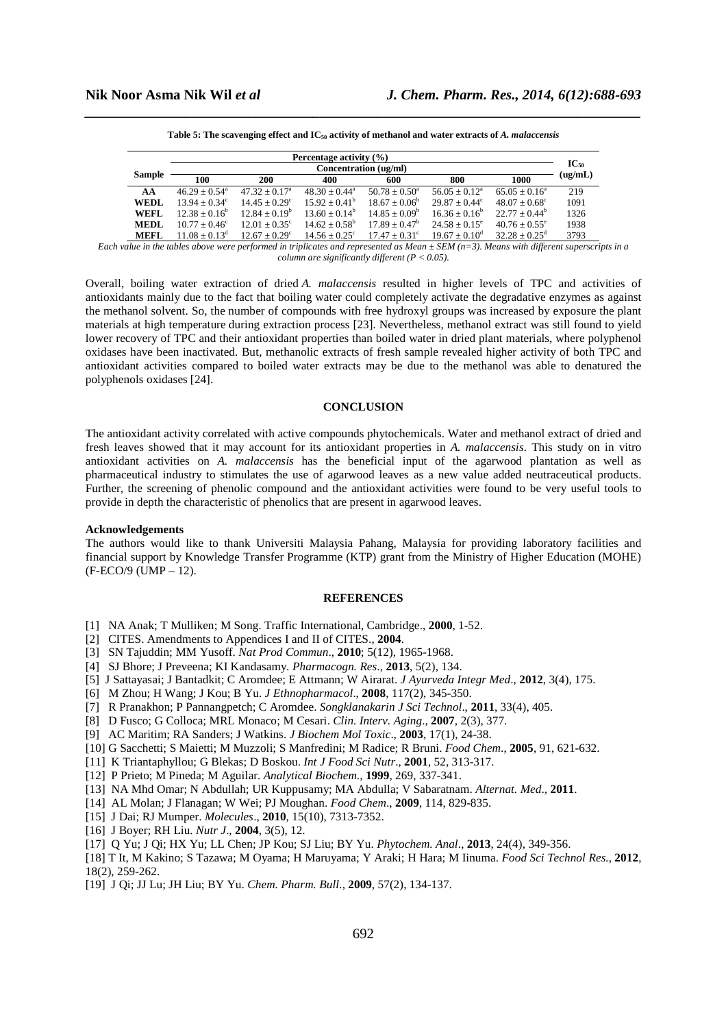|               | Percentage activity $(\% )$ |                        |                        |                          |                        |                        |         |  |
|---------------|-----------------------------|------------------------|------------------------|--------------------------|------------------------|------------------------|---------|--|
|               | Concentration (ug/ml)       |                        |                        |                          |                        |                        |         |  |
| <b>Sample</b> | 100                         | 200                    | 400                    | 600                      | 800                    | 1000                   | (ug/mL) |  |
| AA            | $46.29 + 0.54$ <sup>a</sup> | $47.32 + 0.17a$        | $48.30 + 0.44^a$       | $50.78 + 0.50^{\circ}$   | $56.05 + 0.12^a$       | $65.05 + 0.16^a$       | 219     |  |
| <b>WEDL</b>   | $13.94 + 0.34^{\circ}$      | $14.45 + 0.29^{\circ}$ | $15.92 + 0.41^{\circ}$ | $18.67 \pm 0.06^{\circ}$ | $29.87 + 0.44^{\circ}$ | $48.07 + 0.68^{\circ}$ | 1091    |  |
| <b>WEFL</b>   | $12.38 + 0.16^b$            | $12.84 + 0.19^b$       | $13.60 + 0.14^b$       | $14.85 + 0.09^b$         | $16.36 \pm 0.16^b$     | $22.77 + 0.44^b$       | 1326    |  |
| <b>MEDL</b>   | $10.77 + 0.46^{\circ}$      | $12.01 + 0.35^{\circ}$ | $14.62 + 0.58^b$       | $17.89 + 0.47^b$         | $24.58 \pm 0.15^e$     | $40.76 + 0.55^{\circ}$ | 1938    |  |
| <b>MEFL</b>   | $11.08 + 0.13^d$            | $12.67 + 0.29^{\circ}$ | $14.56 + 0.25^{\circ}$ | $17.47 + 0.31^{\circ}$   | $19.67 + 0.10^{\circ}$ | $32.28 + 0.25^d$       | 3793    |  |

*\_\_\_\_\_\_\_\_\_\_\_\_\_\_\_\_\_\_\_\_\_\_\_\_\_\_\_\_\_\_\_\_\_\_\_\_\_\_\_\_\_\_\_\_\_\_\_\_\_\_\_\_\_\_\_\_\_\_\_\_\_\_\_\_\_\_\_\_\_\_\_\_\_\_\_\_\_\_* **Table 5: The scavenging effect and IC50 activity of methanol and water extracts of** *A. malaccensis* 

*Each value in the tables above were performed in triplicates and represented as Mean ± SEM (n=3). Means with different superscripts in a column are significantly different (P < 0.05).* 

Overall, boiling water extraction of dried *A. malaccensis* resulted in higher levels of TPC and activities of antioxidants mainly due to the fact that boiling water could completely activate the degradative enzymes as against the methanol solvent. So, the number of compounds with free hydroxyl groups was increased by exposure the plant materials at high temperature during extraction process [23]. Nevertheless, methanol extract was still found to yield lower recovery of TPC and their antioxidant properties than boiled water in dried plant materials, where polyphenol oxidases have been inactivated. But, methanolic extracts of fresh sample revealed higher activity of both TPC and antioxidant activities compared to boiled water extracts may be due to the methanol was able to denatured the polyphenols oxidases [24].

#### **CONCLUSION**

The antioxidant activity correlated with active compounds phytochemicals. Water and methanol extract of dried and fresh leaves showed that it may account for its antioxidant properties in *A. malaccensis*. This study on in vitro antioxidant activities on *A. malaccensis* has the beneficial input of the agarwood plantation as well as pharmaceutical industry to stimulates the use of agarwood leaves as a new value added neutraceutical products. Further, the screening of phenolic compound and the antioxidant activities were found to be very useful tools to provide in depth the characteristic of phenolics that are present in agarwood leaves.

#### **Acknowledgements**

The authors would like to thank Universiti Malaysia Pahang, Malaysia for providing laboratory facilities and financial support by Knowledge Transfer Programme (KTP) grant from the Ministry of Higher Education (MOHE) (F-ECO/9 (UMP – 12).

#### **REFERENCES**

- [1] NA Anak; T Mulliken; M Song. Traffic International, Cambridge., **2000**, 1-52.
- [2] CITES. Amendments to Appendices I and II of CITES., **2004**.
- [3] SN Tajuddin; MM Yusoff. *Nat Prod Commun*., **2010**; 5(12), 1965-1968.
- [4] SJ Bhore; J Preveena; KI Kandasamy. *Pharmacogn. Res*., **2013**, 5(2), 134.
- [5] J Sattayasai; J Bantadkit; C Aromdee; E Attmann; W Airarat. *J Ayurveda Integr Med*., **2012**, 3(4), 175.
- [6] M Zhou; H Wang; J Kou; B Yu. *J Ethnopharmacol*., **2008**, 117(2), 345-350.
- [7] R Pranakhon; P Pannangpetch; C Aromdee. *Songklanakarin J Sci Technol*., **2011**, 33(4), 405.
- [8] D Fusco; G Colloca; MRL Monaco; M Cesari. *Clin. Interv. Aging*., **2007**, 2(3), 377.
- [9] AC Maritim; RA Sanders; J Watkins. *J Biochem Mol Toxic*., **2003**, 17(1), 24-38.
- [10] G Sacchetti; S Maietti; M Muzzoli; S Manfredini; M Radice; R Bruni. *Food Chem*., **2005**, 91, 621-632.
- [11] K Triantaphyllou; G Blekas; D Boskou. *Int J Food Sci Nutr*., **2001**, 52, 313-317.
- [12] P Prieto; M Pineda; M Aguilar. *Analytical Biochem*., **1999**, 269, 337-341.
- [13] NA Mhd Omar; N Abdullah; UR Kuppusamy; MA Abdulla; V Sabaratnam. *Alternat. Med*., **2011**.
- [14] AL Molan; J Flanagan; W Wei; PJ Moughan. *Food Chem*., **2009**, 114, 829-835.
- [15] J Dai; RJ Mumper. *Molecules*., **2010**, 15(10), 7313-7352.
- [16] J Boyer; RH Liu. *Nutr J*., **2004**, 3(5), 12.
- [17] Q Yu; J Qi; HX Yu; LL Chen; JP Kou; SJ Liu; BY Yu. *Phytochem. Anal*., **2013**, 24(4), 349-356.

[18] T It, M Kakino; S Tazawa; M Oyama; H Maruyama; Y Araki; H Hara; M Iinuma. *Food Sci Technol Res.*, **2012**, 18(2), 259-262.

[19] J Qi; JJ Lu; JH Liu; BY Yu. *Chem. Pharm. Bull.,* **2009**, 57(2), 134-137.